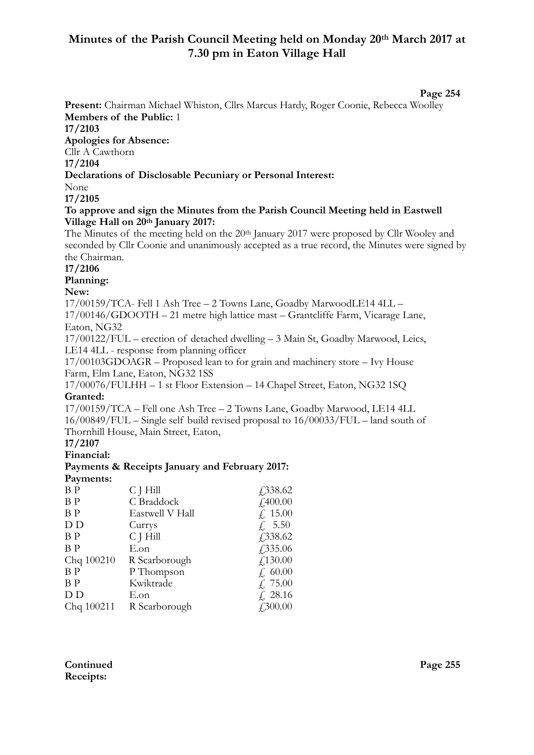# **Minutes of the Parish Council Meeting held on Monday 20th March 2017 at 7.30 pm in Eaton Village Hall**

#### **Page 254**

**Present:** Chairman Michael Whiston, Cllrs Marcus Hardy, Roger Coonie, Rebecca Woolley **Members of the Public:** 1 **17/2103 Apologies for Absence:**  Cllr A Cawthorn **17/2104 Declarations of Disclosable Pecuniary or Personal Interest:** None **17/2105 To approve and sign the Minutes from the Parish Council Meeting held in Eastwell Village Hall on 20th January 2017:**  The Minutes of the meeting held on the 20th January 2017 were proposed by Cllr Wooley and seconded by Cllr Coonie and unanimously accepted as a true record, the Minutes were signed by the Chairman. **17/2106 Planning: New:**  17/00159/TCA- Fell 1 Ash Tree – 2 Towns Lane, Goadby MarwoodLE14 4LL –

17/00146/GDOOTH – 21 metre high lattice mast – Grantcliffe Farm, Vicarage Lane, Eaton, NG32

17/00122/FUL – erection of detached dwelling – 3 Main St, Goadby Marwood, Leics, LE14 4LL - response from planning officer

17/00103GDOAGR – Proposed lean to for grain and machinery store – Ivy House Farm, Elm Lane, Eaton, NG32 1SS

17/00076/FULHH – 1 st Floor Extension – 14 Chapel Street, Eaton, NG32 1SQ **Granted:**

17/00159/TCA – Fell one Ash Tree – 2 Towns Lane, Goadby Marwood, LE14 4LL 16/00849/FUL – Single self build revised proposal to 16/00033/FUL – land south of Thornhill House, Main Street, Eaton,

**17/2107** 

**Financial:**

#### **Payments & Receipts January and February 2017: Payments:**

| $$ wy arrestro: |                 |                             |
|-----------------|-----------------|-----------------------------|
| B <sub>P</sub>  | C J Hill        | £338.62                     |
| ΒP              | C Braddock      | f400.00                     |
| B <sub>P</sub>  | Eastwell V Hall | f, 15.00                    |
| D D             | Currys          | f, 5.50                     |
| ΒP              | C J Hill        | £338.62                     |
| B <sub>P</sub>  | E.on            | $\sqrt{335.06}$             |
| Chq 100210      | R Scarborough   | f,130.00                    |
| B <sub>P</sub>  | P Thompson      | f, 60.00                    |
| B <sub>P</sub>  | Kwiktrade       | f, 75.00                    |
| D D             | E.on            | $\& 28.16$                  |
| Chq 100211      | R Scarborough   | $\textit{\textbf{4}}300.00$ |
|                 |                 |                             |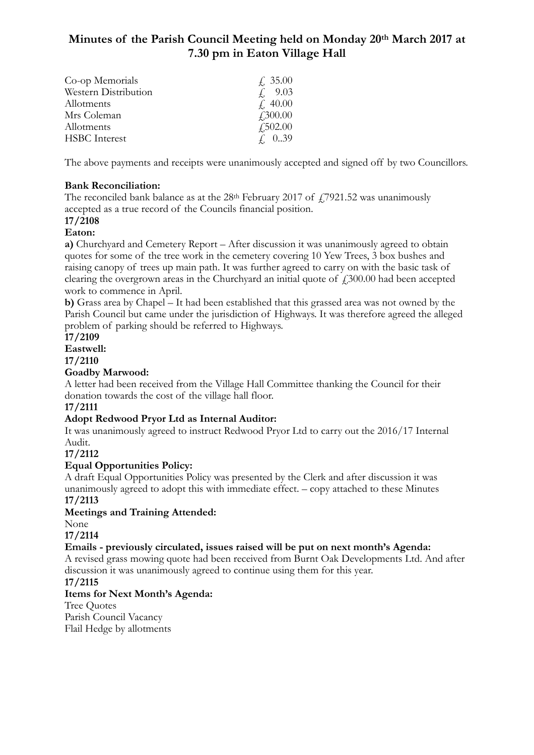# **Minutes of the Parish Council Meeting held on Monday 20th March 2017 at 7.30 pm in Eaton Village Hall**

| Co-op Memorials      | f. 35.00        |
|----------------------|-----------------|
| Western Distribution | 9.03            |
| Allotments           | $\neq$ 40.00    |
| Mrs Coleman          | $\angle 300.00$ |
| Allotments           | $\angle 502.00$ |
| <b>HSBC</b> Interest | $f = 0.39$      |

The above payments and receipts were unanimously accepted and signed off by two Councillors.

## **Bank Reconciliation:**

The reconciled bank balance as at the  $28<sup>th</sup>$  February 2017 of  $\frac{17921.52}{17921.52}$  was unanimously accepted as a true record of the Councils financial position.

#### **17/2108 Eaton:**

**a)** Churchyard and Cemetery Report – After discussion it was unanimously agreed to obtain quotes for some of the tree work in the cemetery covering 10 Yew Trees, 3 box bushes and raising canopy of trees up main path. It was further agreed to carry on with the basic task of clearing the overgrown areas in the Churchyard an initial quote of  $\ddot{f}$  300.00 had been accepted work to commence in April.

**b)** Grass area by Chapel – It had been established that this grassed area was not owned by the Parish Council but came under the jurisdiction of Highways. It was therefore agreed the alleged problem of parking should be referred to Highways.

**17/2109 Eastwell:**

**17/2110** 

# **Goadby Marwood:**

A letter had been received from the Village Hall Committee thanking the Council for their donation towards the cost of the village hall floor.

### **17/2111**

# **Adopt Redwood Pryor Ltd as Internal Auditor:**

It was unanimously agreed to instruct Redwood Pryor Ltd to carry out the 2016/17 Internal Audit.

**17/2112** 

# **Equal Opportunities Policy:**

A draft Equal Opportunities Policy was presented by the Clerk and after discussion it was unanimously agreed to adopt this with immediate effect. – copy attached to these Minutes **17/2113** 

### **Meetings and Training Attended:**

None

**17/2114** 

# **Emails - previously circulated, issues raised will be put on next month's Agenda:**

A revised grass mowing quote had been received from Burnt Oak Developments Ltd. And after discussion it was unanimously agreed to continue using them for this year.

### **17/2115**

### **Items for Next Month's Agenda:**

Tree Quotes Parish Council Vacancy Flail Hedge by allotments